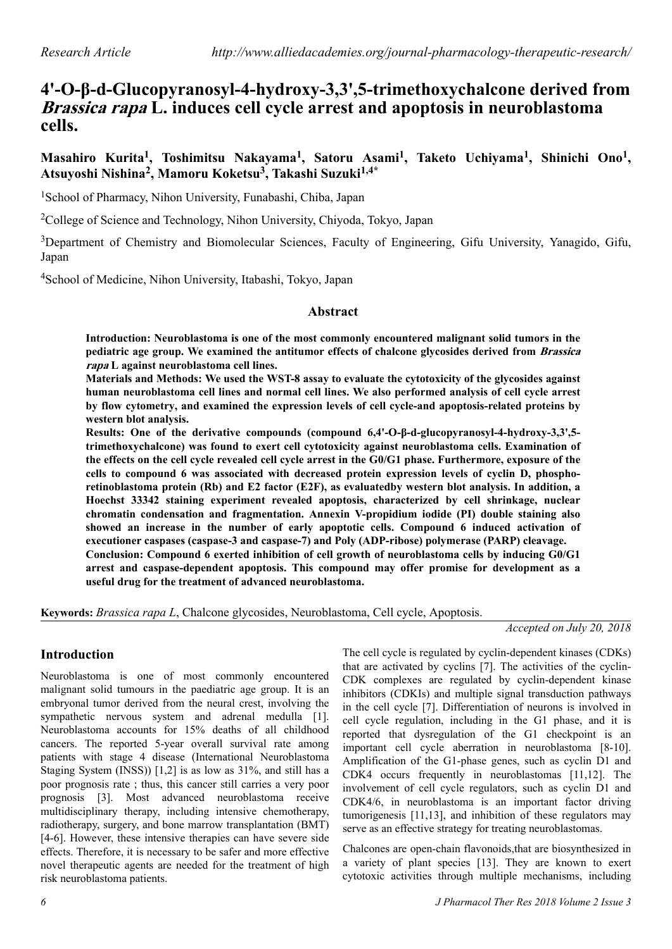# **4'-O-β-d-Glucopyranosyl-4-hydroxy-3,3',5-trimethoxychalcone derived from Brassica rapa L. induces cell cycle arrest and apoptosis in neuroblastoma cells.**

**Masahiro Kurita<sup>1</sup> , Toshimitsu Nakayama<sup>1</sup> , Satoru Asami<sup>1</sup> , Taketo Uchiyama<sup>1</sup> , Shinichi Ono<sup>1</sup> , Atsuyoshi Nishina<sup>2</sup> , Mamoru Koketsu<sup>3</sup> , Takashi Suzuki1,4\***

<sup>1</sup>School of Pharmacy, Nihon University, Funabashi, Chiba, Japan

<sup>2</sup>College of Science and Technology, Nihon University, Chiyoda, Tokyo, Japan

<sup>3</sup>Department of Chemistry and Biomolecular Sciences, Faculty of Engineering, Gifu University, Yanagido, Gifu, Japan

<sup>4</sup>School of Medicine, Nihon University, Itabashi, Tokyo, Japan

#### **Abstract**

**Introduction: Neuroblastoma is one of the most commonly encountered malignant solid tumors in the pediatric age group. We examined the antitumor effects of chalcone glycosides derived from Brassica rapa L against neuroblastoma cell lines.**

**Materials and Methods: We used the WST-8 assay to evaluate the cytotoxicity of the glycosides against human neuroblastoma cell lines and normal cell lines. We also performed analysis of cell cycle arrest by flow cytometry, and examined the expression levels of cell cycle-and apoptosis-related proteins by western blot analysis.**

**Results: One of the derivative compounds (compound 6,4'-O-β-d-glucopyranosyl-4-hydroxy-3,3',5 trimethoxychalcone) was found to exert cell cytotoxicity against neuroblastoma cells. Examination of the effects on the cell cycle revealed cell cycle arrest in the G0/G1 phase. Furthermore, exposure of the cells to compound 6 was associated with decreased protein expression levels of cyclin D, phosphoretinoblastoma protein (Rb) and E2 factor (E2F), as evaluatedby western blot analysis. In addition, a Hoechst 33342 staining experiment revealed apoptosis, characterized by cell shrinkage, nuclear chromatin condensation and fragmentation. Annexin V-propidium iodide (PI) double staining also showed an increase in the number of early apoptotic cells. Compound 6 induced activation of executioner caspases (caspase-3 and caspase-7) and Poly (ADP-ribose) polymerase (PARP) cleavage. Conclusion: Compound 6 exerted inhibition of cell growth of neuroblastoma cells by inducing G0/G1 arrest and caspase-dependent apoptosis. This compound may offer promise for development as a useful drug for the treatment of advanced neuroblastoma.**

**Keywords:** *Brassica rapa L*, Chalcone glycosides, Neuroblastoma, Cell cycle, Apoptosis.

*Accepted on July 20, 2018*

# **Introduction**

Neuroblastoma is one of most commonly encountered malignant solid tumours in the paediatric age group. It is an embryonal tumor derived from the neural crest, involving the sympathetic nervous system and adrenal medulla [1]. Neuroblastoma accounts for 15% deaths of all childhood cancers. The reported 5-year overall survival rate among patients with stage 4 disease (International Neuroblastoma Staging System (INSS)) [1,2] is as low as 31%, and still has a poor prognosis rate ; thus, this cancer still carries a very poor prognosis [3]. Most advanced neuroblastoma receive multidisciplinary therapy, including intensive chemotherapy, radiotherapy, surgery, and bone marrow transplantation (BMT) [4-6]. However, these intensive therapies can have severe side effects. Therefore, it is necessary to be safer and more effective novel therapeutic agents are needed for the treatment of high risk neuroblastoma patients.

The cell cycle is regulated by cyclin-dependent kinases (CDKs) that are activated by cyclins [7]. The activities of the cyclin-CDK complexes are regulated by cyclin-dependent kinase inhibitors (CDKIs) and multiple signal transduction pathways in the cell cycle [7]. Differentiation of neurons is involved in cell cycle regulation, including in the G1 phase, and it is reported that dysregulation of the G1 checkpoint is an important cell cycle aberration in neuroblastoma [8-10]. Amplification of the G1-phase genes, such as cyclin D1 and CDK4 occurs frequently in neuroblastomas [11,12]. The involvement of cell cycle regulators, such as cyclin D1 and CDK4/6, in neuroblastoma is an important factor driving tumorigenesis [11,13], and inhibition of these regulators may serve as an effective strategy for treating neuroblastomas.

Chalcones are open-chain flavonoids,that are biosynthesized in a variety of plant species [13]. They are known to exert cytotoxic activities through multiple mechanisms, including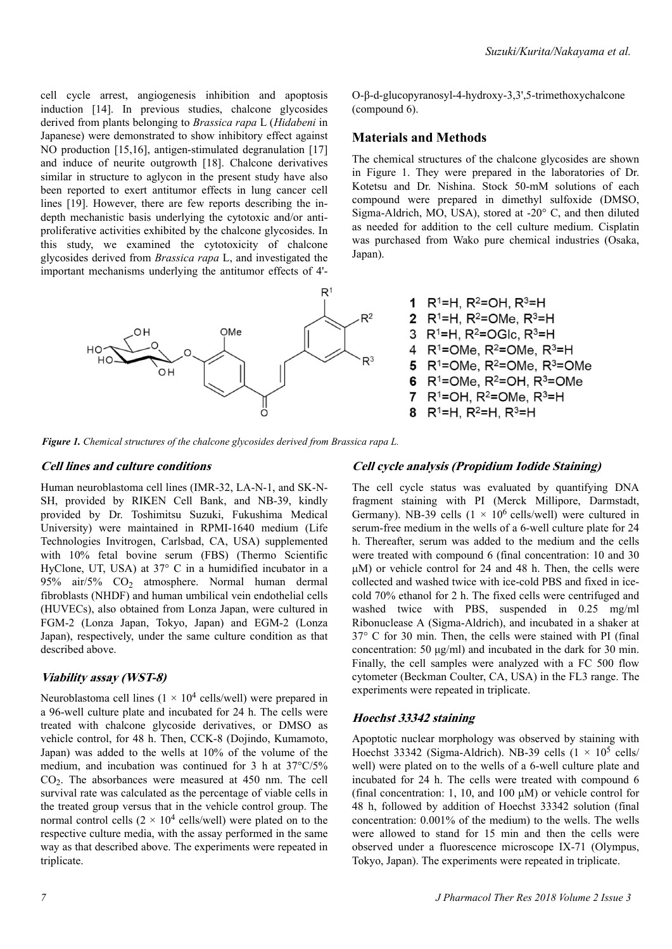*Suzuki/Kurita/Nakayama et al.*

cell cycle arrest, angiogenesis inhibition and apoptosis induction [14]. In previous studies, chalcone glycosides derived from plants belonging to *Brassica rapa* L (*Hidabeni* in Japanese) were demonstrated to show inhibitory effect against NO production [15,16], antigen-stimulated degranulation [17] and induce of neurite outgrowth [18]. Chalcone derivatives similar in structure to aglycon in the present study have also been reported to exert antitumor effects in lung cancer cell lines [19]. However, there are few reports describing the indepth mechanistic basis underlying the cytotoxic and/or antiproliferative activities exhibited by the chalcone glycosides. In this study, we examined the cytotoxicity of chalcone glycosides derived from *Brassica rapa* L, and investigated the important mechanisms underlying the antitumor effects of 4'-



O-β-d-glucopyranosyl-4-hydroxy-3,3',5-trimethoxychalcone (compound 6).

## **Materials and Methods**

The chemical structures of the chalcone glycosides are shown in Figure 1. They were prepared in the laboratories of Dr. Kotetsu and Dr. Nishina. Stock 50-mM solutions of each compound were prepared in dimethyl sulfoxide (DMSO, Sigma-Aldrich, MO, USA), stored at -20° C, and then diluted as needed for addition to the cell culture medium. Cisplatin was purchased from Wako pure chemical industries (Osaka, Japan).



*Figure 1. Chemical structures of the chalcone glycosides derived from Brassica rapa L.*

#### **Cell lines and culture conditions**

Human neuroblastoma cell lines (IMR-32, LA-N-1, and SK-N-SH, provided by RIKEN Cell Bank, and NB-39, kindly provided by Dr. Toshimitsu Suzuki, Fukushima Medical University) were maintained in RPMI-1640 medium (Life Technologies Invitrogen, Carlsbad, CA, USA) supplemented with 10% fetal bovine serum (FBS) (Thermo Scientific HyClone, UT, USA) at 37° C in a humidified incubator in a 95% air/5%  $CO<sub>2</sub>$  atmosphere. Normal human dermal fibroblasts (NHDF) and human umbilical vein endothelial cells (HUVECs), also obtained from Lonza Japan, were cultured in FGM-2 (Lonza Japan, Tokyo, Japan) and EGM-2 (Lonza Japan), respectively, under the same culture condition as that described above.

#### **Viability assay (WST-8)**

Neuroblastoma cell lines  $(1 \times 10^4 \text{ cells/well})$  were prepared in a 96-well culture plate and incubated for 24 h. The cells were treated with chalcone glycoside derivatives, or DMSO as vehicle control, for 48 h. Then, CCK-8 (Dojindo, Kumamoto, Japan) was added to the wells at 10% of the volume of the medium, and incubation was continued for 3 h at 37°C/5% CO<sup>2</sup> . The absorbances were measured at 450 nm. The cell survival rate was calculated as the percentage of viable cells in the treated group versus that in the vehicle control group. The normal control cells  $(2 \times 10^4 \text{ cells/well})$  were plated on to the respective culture media, with the assay performed in the same way as that described above. The experiments were repeated in triplicate.

#### **Cell cycle analysis (Propidium Iodide Staining)**

The cell cycle status was evaluated by quantifying DNA fragment staining with PI (Merck Millipore, Darmstadt, Germany). NB-39 cells  $(1 \times 10^6 \text{ cells/well})$  were cultured in serum-free medium in the wells of a 6-well culture plate for 24 h. Thereafter, serum was added to the medium and the cells were treated with compound 6 (final concentration: 10 and 30 μM) or vehicle control for 24 and 48 h. Then, the cells were collected and washed twice with ice-cold PBS and fixed in icecold 70% ethanol for 2 h. The fixed cells were centrifuged and washed twice with PBS, suspended in 0.25 mg/ml Ribonuclease A (Sigma-Aldrich), and incubated in a shaker at 37° C for 30 min. Then, the cells were stained with PI (final concentration: 50 μg/ml) and incubated in the dark for 30 min. Finally, the cell samples were analyzed with a FC 500 flow cytometer (Beckman Coulter, CA, USA) in the FL3 range. The experiments were repeated in triplicate.

#### **Hoechst 33342 staining**

Apoptotic nuclear morphology was observed by staining with Hoechst 33342 (Sigma-Aldrich). NB-39 cells  $(1 \times 10^5 \text{ cells})$ well) were plated on to the wells of a 6-well culture plate and incubated for 24 h. The cells were treated with compound 6 (final concentration: 1, 10, and 100 μM) or vehicle control for 48 h, followed by addition of Hoechst 33342 solution (final concentration: 0.001% of the medium) to the wells. The wells were allowed to stand for 15 min and then the cells were observed under a fluorescence microscope IX-71 (Olympus, Tokyo, Japan). The experiments were repeated in triplicate.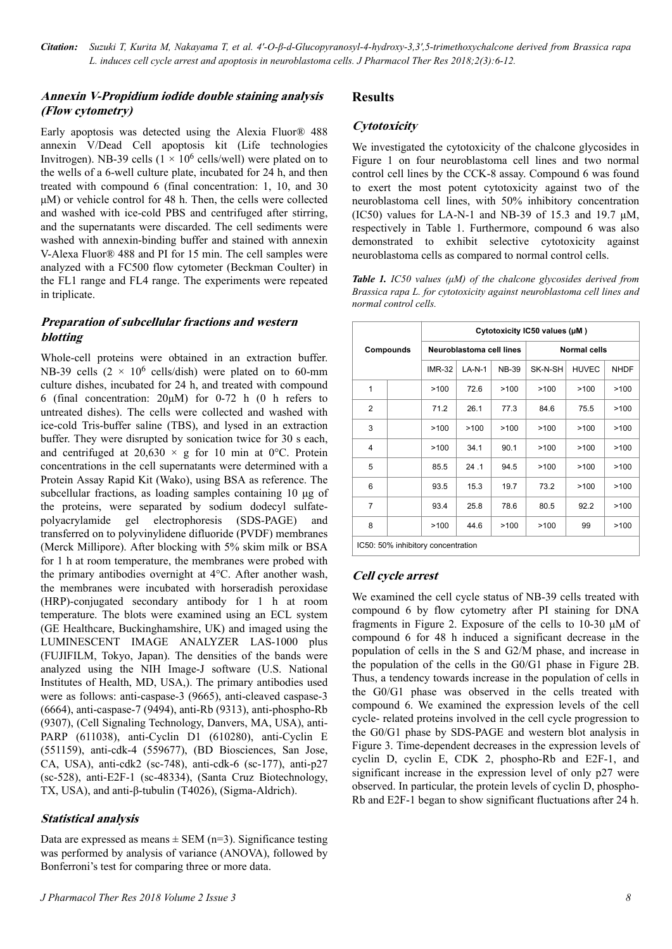*Citation: Suzuki T, Kurita M, Nakayama T, et al. 4'-O-β-d-Glucopyranosyl-4-hydroxy-3,3',5-trimethoxychalcone derived from Brassica rapa L. induces cell cycle arrest and apoptosis in neuroblastoma cells. J Pharmacol Ther Res 2018;2(3):6-12.*

## **Annexin V-Propidium iodide double staining analysis (Flow cytometry)**

Early apoptosis was detected using the Alexia Fluor® 488 annexin V/Dead Cell apoptosis kit (Life technologies Invitrogen). NB-39 cells  $(1 \times 10^6 \text{ cells/well})$  were plated on to the wells of a 6-well culture plate, incubated for 24 h, and then treated with compound 6 (final concentration: 1, 10, and 30 μM) or vehicle control for 48 h. Then, the cells were collected and washed with ice-cold PBS and centrifuged after stirring, and the supernatants were discarded. The cell sediments were washed with annexin-binding buffer and stained with annexin V-Alexa Fluor® 488 and PI for 15 min. The cell samples were analyzed with a FC500 flow cytometer (Beckman Coulter) in the FL1 range and FL4 range. The experiments were repeated in triplicate.

## **Preparation of subcellular fractions and western blotting**

Whole-cell proteins were obtained in an extraction buffer. NB-39 cells  $(2 \times 10^6 \text{ cells/dish})$  were plated on to 60-mm culture dishes, incubated for 24 h, and treated with compound 6 (final concentration: 20μM) for 0-72 h (0 h refers to untreated dishes). The cells were collected and washed with ice-cold Tris-buffer saline (TBS), and lysed in an extraction buffer. They were disrupted by sonication twice for 30 s each, and centrifuged at  $20,630 \times g$  for 10 min at 0°C. Protein concentrations in the cell supernatants were determined with a Protein Assay Rapid Kit (Wako), using BSA as reference. The subcellular fractions, as loading samples containing 10 μg of the proteins, were separated by sodium dodecyl sulfatepolyacrylamide gel electrophoresis (SDS-PAGE) and transferred on to polyvinylidene difluoride (PVDF) membranes (Merck Millipore). After blocking with 5% skim milk or BSA for 1 h at room temperature, the membranes were probed with the primary antibodies overnight at 4°C. After another wash, the membranes were incubated with horseradish peroxidase (HRP)-conjugated secondary antibody for 1 h at room temperature. The blots were examined using an ECL system (GE Healthcare, Buckinghamshire, UK) and imaged using the LUMINESCENT IMAGE ANALYZER LAS-1000 plus (FUJIFILM, Tokyo, Japan). The densities of the bands were analyzed using the NIH Image-J software (U.S. National Institutes of Health, MD, USA,). The primary antibodies used were as follows: anti-caspase-3 (9665), anti-cleaved caspase-3 (6664), anti-caspase-7 (9494), anti-Rb (9313), anti-phospho-Rb (9307), (Cell Signaling Technology, Danvers, MA, USA), anti-PARP (611038), anti-Cyclin D1 (610280), anti-Cyclin E (551159), anti-cdk-4 (559677), (BD Biosciences, San Jose, CA, USA), anti-cdk2 (sc-748), anti-cdk-6 (sc-177), anti-p27 (sc-528), anti-E2F-1 (sc-48334), (Santa Cruz Biotechnology, TX, USA), and anti-β-tubulin (T4026), (Sigma-Aldrich).

## **Statistical analysis**

Data are expressed as means  $\pm$  SEM (n=3). Significance testing was performed by analysis of variance (ANOVA), followed by Bonferroni's test for comparing three or more data.

# **Results**

## **Cytotoxicity**

We investigated the cytotoxicity of the chalcone glycosides in Figure 1 on four neuroblastoma cell lines and two normal control cell lines by the CCK-8 assay. Compound 6 was found to exert the most potent cytotoxicity against two of the neuroblastoma cell lines, with 50% inhibitory concentration (IC50) values for LA-N-1 and NB-39 of 15.3 and 19.7  $\mu$ M, respectively in Table 1. Furthermore, compound 6 was also demonstrated to exhibit selective cytotoxicity against neuroblastoma cells as compared to normal control cells.

*Table 1. IC50 values (μM) of the chalcone glycosides derived from Brassica rapa L. for cytotoxicity against neuroblastoma cell lines and normal control cells.*

| Compounds                          |  | Cytotoxicity IC50 values (µM) |          |              |              |              |             |
|------------------------------------|--|-------------------------------|----------|--------------|--------------|--------------|-------------|
|                                    |  | Neuroblastoma cell lines      |          |              | Normal cells |              |             |
|                                    |  | <b>IMR-32</b>                 | $LA-N-1$ | <b>NB-39</b> | SK-N-SH      | <b>HUVEC</b> | <b>NHDF</b> |
| 1                                  |  | >100                          | 72.6     | >100         | >100         | >100         | >100        |
| $\overline{2}$                     |  | 71.2                          | 26.1     | 77.3         | 84.6         | 75.5         | >100        |
| 3                                  |  | >100                          | >100     | >100         | >100         | >100         | >100        |
| 4                                  |  | >100                          | 34.1     | 90.1         | >100         | >100         | >100        |
| 5                                  |  | 85.5                          | 24.1     | 94.5         | >100         | >100         | >100        |
| 6                                  |  | 93.5                          | 15.3     | 19.7         | 73.2         | >100         | >100        |
| $\overline{7}$                     |  | 93.4                          | 25.8     | 78.6         | 80.5         | 92.2         | >100        |
| 8                                  |  | >100                          | 44.6     | >100         | >100         | 99           | >100        |
| IC50: 50% inhibitory concentration |  |                               |          |              |              |              |             |

## **Cell cycle arrest**

We examined the cell cycle status of NB-39 cells treated with compound 6 by flow cytometry after PI staining for DNA fragments in Figure 2. Exposure of the cells to 10-30 μM of compound 6 for 48 h induced a significant decrease in the population of cells in the S and G2/M phase, and increase in the population of the cells in the G0/G1 phase in Figure 2B. Thus, a tendency towards increase in the population of cells in the G0/G1 phase was observed in the cells treated with compound 6. We examined the expression levels of the cell cycle- related proteins involved in the cell cycle progression to the G0/G1 phase by SDS-PAGE and western blot analysis in Figure 3. Time-dependent decreases in the expression levels of cyclin D, cyclin E, CDK 2, phospho-Rb and E2F-1, and significant increase in the expression level of only p27 were observed. In particular, the protein levels of cyclin D, phospho-Rb and E2F-1 began to show significant fluctuations after 24 h.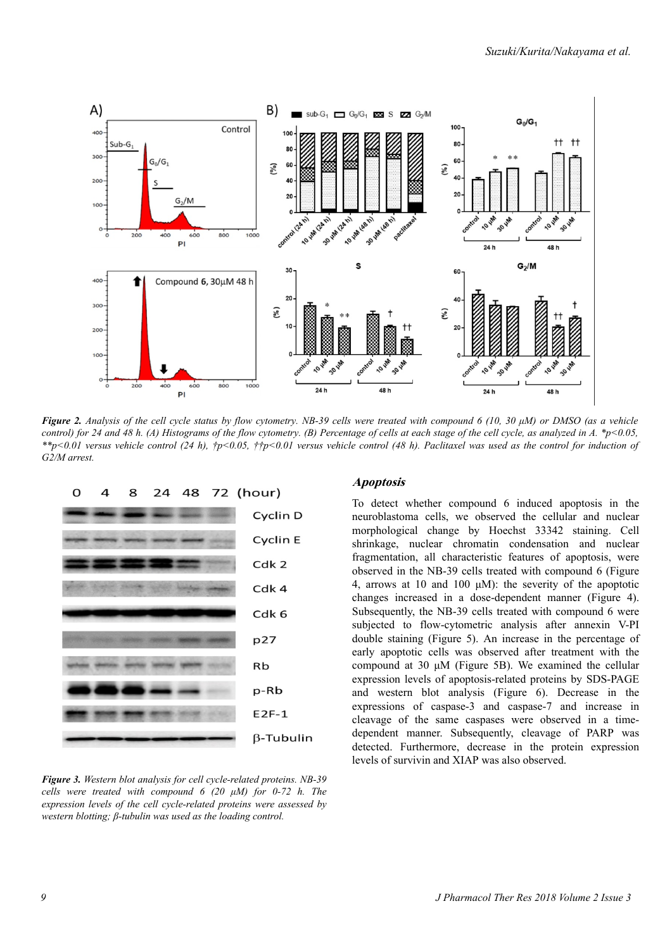

*Figure 2. Analysis of the cell cycle status by flow cytometry. NB-39 cells were treated with compound 6 (10, 30 μM) or DMSO (as a vehicle control)* for 24 and 48 h. (A) Histograms of the flow cytometry. (B) Percentage of cells at each stage of the cell cycle, as analyzed in A. \*p<0.05, *\*\*p<0.01 versus vehicle control (24 h), †p<0.05, ††p<0.01 versus vehicle control (48 h). Paclitaxel was used as the control for induction of G2/M arrest.*



*Figure 3. Western blot analysis for cell cycle-related proteins. NB-39 cells were treated with compound 6 (20 μM) for 0-72 h. The expression levels of the cell cycle-related proteins were assessed by western blotting; β-tubulin was used as the loading control.*

#### **Apoptosis**

To detect whether compound 6 induced apoptosis in the neuroblastoma cells, we observed the cellular and nuclear morphological change by Hoechst 33342 staining. Cell shrinkage, nuclear chromatin condensation and nuclear fragmentation, all characteristic features of apoptosis, were observed in the NB-39 cells treated with compound 6 (Figure 4, arrows at 10 and 100 μM): the severity of the apoptotic changes increased in a dose-dependent manner (Figure 4). Subsequently, the NB-39 cells treated with compound 6 were subjected to flow-cytometric analysis after annexin V-PI double staining (Figure 5). An increase in the percentage of early apoptotic cells was observed after treatment with the compound at 30 μM (Figure 5B). We examined the cellular expression levels of apoptosis-related proteins by SDS-PAGE and western blot analysis (Figure 6). Decrease in the expressions of caspase-3 and caspase-7 and increase in cleavage of the same caspases were observed in a timedependent manner. Subsequently, cleavage of PARP was detected. Furthermore, decrease in the protein expression levels of survivin and XIAP was also observed.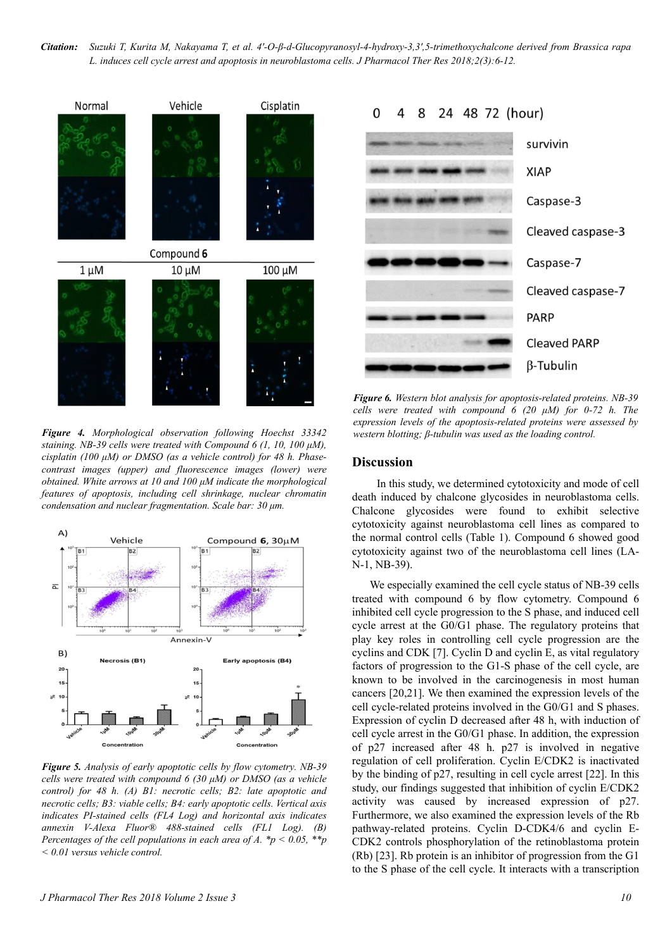*Citation: Suzuki T, Kurita M, Nakayama T, et al. 4'-O-β-d-Glucopyranosyl-4-hydroxy-3,3',5-trimethoxychalcone derived from Brassica rapa L. induces cell cycle arrest and apoptosis in neuroblastoma cells. J Pharmacol Ther Res 2018;2(3):6-12.*



*Figure 4. Morphological observation following Hoechst 33342 staining. NB-39 cells were treated with Compound 6 (1, 10, 100 μM), cisplatin (100 μM) or DMSO (as a vehicle control) for 48 h. Phasecontrast images (upper) and fluorescence images (lower) were obtained. White arrows at 10 and 100 μM indicate the morphological features of apoptosis, including cell shrinkage, nuclear chromatin condensation and nuclear fragmentation. Scale bar: 30 μm.*



*Figure 5. Analysis of early apoptotic cells by flow cytometry. NB-39 cells were treated with compound 6 (30 μM) or DMSO (as a vehicle control) for 48 h. (A) B1: necrotic cells; B2: late apoptotic and necrotic cells; B3: viable cells; B4: early apoptotic cells. Vertical axis indicates PI-stained cells (FL4 Log) and horizontal axis indicates annexin V-Alexa Fluor® 488-stained cells (FL1 Log). (B) Percentages of the cell populations in each area of A. \*p < 0.05, \*\*p < 0.01 versus vehicle control.*



*Figure 6. Western blot analysis for apoptosis-related proteins. NB-39 cells were treated with compound 6 (20 μM) for 0-72 h. The expression levels of the apoptosis-related proteins were assessed by western blotting; β-tubulin was used as the loading control.*

#### **Discussion**

In this study, we determined cytotoxicity and mode of cell death induced by chalcone glycosides in neuroblastoma cells. Chalcone glycosides were found to exhibit selective cytotoxicity against neuroblastoma cell lines as compared to the normal control cells (Table 1). Compound 6 showed good cytotoxicity against two of the neuroblastoma cell lines (LA-N-1, NB-39).

We especially examined the cell cycle status of NB-39 cells treated with compound 6 by flow cytometry. Compound 6 inhibited cell cycle progression to the S phase, and induced cell cycle arrest at the G0/G1 phase. The regulatory proteins that play key roles in controlling cell cycle progression are the cyclins and CDK [7]. Cyclin D and cyclin E, as vital regulatory factors of progression to the G1-S phase of the cell cycle, are known to be involved in the carcinogenesis in most human cancers [20,21]. We then examined the expression levels of the cell cycle-related proteins involved in the G0/G1 and S phases. Expression of cyclin D decreased after 48 h, with induction of cell cycle arrest in the G0/G1 phase. In addition, the expression of p27 increased after 48 h. p27 is involved in negative regulation of cell proliferation. Cyclin E/CDK2 is inactivated by the binding of p27, resulting in cell cycle arrest [22]. In this study, our findings suggested that inhibition of cyclin E/CDK2 activity was caused by increased expression of p27. Furthermore, we also examined the expression levels of the Rb pathway-related proteins. Cyclin D-CDK4/6 and cyclin E-CDK2 controls phosphorylation of the retinoblastoma protein (Rb) [23]. Rb protein is an inhibitor of progression from the G1 to the S phase of the cell cycle. It interacts with a transcription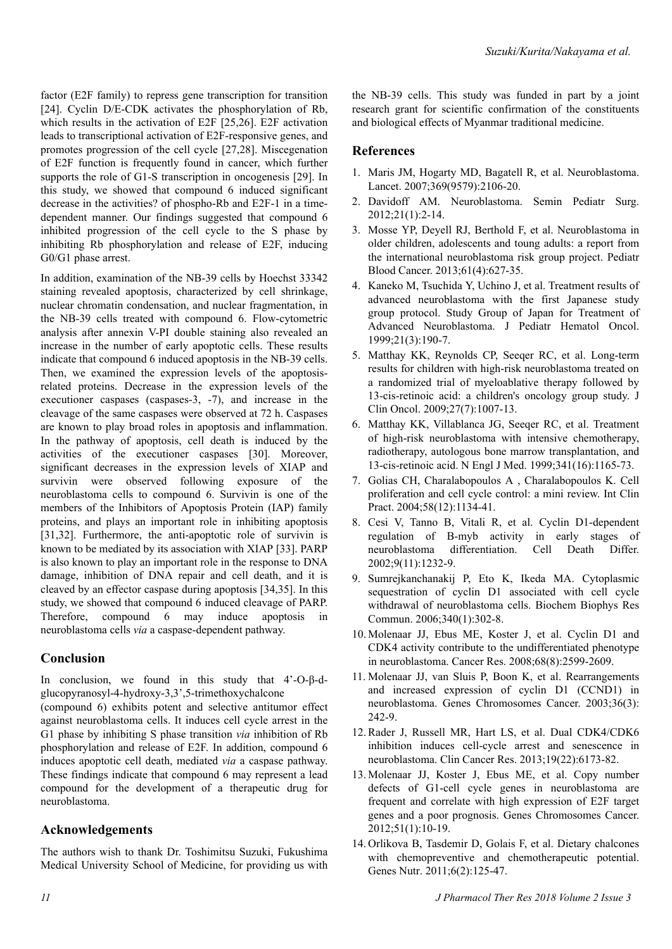factor (E2F family) to repress gene transcription for transition [24]. Cyclin D/E-CDK activates the phosphorylation of Rb, which results in the activation of E2F [25,26]. E2F activation leads to transcriptional activation of E2F-responsive genes, and promotes progression of the cell cycle [27,28]. Miscegenation of E2F function is frequently found in cancer, which further supports the role of G1-S transcription in oncogenesis [29]. In this study, we showed that compound 6 induced significant decrease in the activities? of phospho-Rb and E2F-1 in a timedependent manner. Our findings suggested that compound 6 inhibited progression of the cell cycle to the S phase by inhibiting Rb phosphorylation and release of E2F, inducing G0/G1 phase arrest.

In addition, examination of the NB-39 cells by Hoechst 33342 staining revealed apoptosis, characterized by cell shrinkage, nuclear chromatin condensation, and nuclear fragmentation, in the NB-39 cells treated with compound 6. Flow-cytometric analysis after annexin V-PI double staining also revealed an increase in the number of early apoptotic cells. These results indicate that compound 6 induced apoptosis in the NB-39 cells. Then, we examined the expression levels of the apoptosisrelated proteins. Decrease in the expression levels of the executioner caspases (caspases-3, -7), and increase in the cleavage of the same caspases were observed at 72 h. Caspases are known to play broad roles in apoptosis and inflammation. In the pathway of apoptosis, cell death is induced by the activities of the executioner caspases [30]. Moreover, significant decreases in the expression levels of XIAP and survivin were observed following exposure of the neuroblastoma cells to compound 6. Survivin is one of the members of the Inhibitors of Apoptosis Protein (IAP) family proteins, and plays an important role in inhibiting apoptosis [31,32]. Furthermore, the anti-apoptotic role of survivin is known to be mediated by its association with XIAP [33]. PARP is also known to play an important role in the response to DNA damage, inhibition of DNA repair and cell death, and it is cleaved by an effector caspase during apoptosis [34,35]. In this study, we showed that compound 6 induced cleavage of PARP. Therefore, compound 6 may induce apoptosis in neuroblastoma cells *via* a caspase-dependent pathway.

## **Conclusion**

In conclusion, we found in this study that 4'-O-β-dglucopyranosyl-4-hydroxy-3,3',5-trimethoxychalcone (compound 6) exhibits potent and selective antitumor effect against neuroblastoma cells. It induces cell cycle arrest in the G1 phase by inhibiting S phase transition *via* inhibition of Rb phosphorylation and release of E2F. In addition, compound 6 induces apoptotic cell death, mediated *via* a caspase pathway. These findings indicate that compound 6 may represent a lead compound for the development of a therapeutic drug for neuroblastoma.

# **Acknowledgements**

The authors wish to thank Dr. Toshimitsu Suzuki, Fukushima Medical University School of Medicine, for providing us with the NB-39 cells. This study was funded in part by a joint research grant for scientific confirmation of the constituents and biological effects of Myanmar traditional medicine.

# **References**

- 1. Maris JM, Hogarty MD, Bagatell R, et al. Neuroblastoma. Lancet. 2007;369(9579):2106-20.
- 2. Davidoff AM. Neuroblastoma. Semin Pediatr Surg. 2012;21(1):2-14.
- 3. Mosse YP, Deyell RJ, Berthold F, et al. Neuroblastoma in older children, adolescents and toung adults: a report from the international neuroblastoma risk group project. Pediatr Blood Cancer. 2013;61(4):627-35.
- 4. Kaneko M, Tsuchida Y, Uchino J, et al. Treatment results of advanced neuroblastoma with the first Japanese study group protocol. Study Group of Japan for Treatment of Advanced Neuroblastoma. J Pediatr Hematol Oncol. 1999;21(3):190-7.
- 5. Matthay KK, Reynolds CP, Seeqer RC, et al. Long-term results for children with high-risk neuroblastoma treated on a randomized trial of myeloablative therapy followed by 13-cis-retinoic acid: a children's oncology group study. J Clin Oncol. 2009;27(7):1007-13.
- 6. Matthay KK, Villablanca JG, Seeqer RC, et al. Treatment of high-risk neuroblastoma with intensive chemotherapy, radiotherapy, autologous bone marrow transplantation, and 13-cis-retinoic acid. N Engl J Med. 1999;341(16):1165-73.
- 7. Golias CH, Charalabopoulos A , Charalabopoulos K. Cell proliferation and cell cycle control: a mini review. Int Clin Pract. 2004;58(12):1134-41.
- 8. Cesi V, Tanno B, Vitali R, et al. Cyclin D1-dependent regulation of B-myb activity in early stages of neuroblastoma differentiation. Cell Death Differ. 2002;9(11):1232-9.
- 9. Sumrejkanchanakij P, Eto K, Ikeda MA. Cytoplasmic sequestration of cyclin D1 associated with cell cycle withdrawal of neuroblastoma cells. Biochem Biophys Res Commun. 2006;340(1):302-8.
- 10. Molenaar JJ, Ebus ME, Koster J, et al. Cyclin D1 and CDK4 activity contribute to the undifferentiated phenotype in neuroblastoma. Cancer Res. 2008;68(8):2599-2609.
- 11. Molenaar JJ, van Sluis P, Boon K, et al. Rearrangements and increased expression of cyclin D1 (CCND1) in neuroblastoma. Genes Chromosomes Cancer. 2003;36(3): 242-9.
- 12. Rader J, Russell MR, Hart LS, et al. Dual CDK4/CDK6 inhibition induces cell-cycle arrest and senescence in neuroblastoma. Clin Cancer Res. 2013;19(22):6173-82.
- 13. Molenaar JJ, Koster J, Ebus ME, et al. Copy number defects of G1-cell cycle genes in neuroblastoma are frequent and correlate with high expression of E2F target genes and a poor prognosis. Genes Chromosomes Cancer. 2012;51(1):10-19.
- 14. Orlikova B, Tasdemir D, Golais F, et al. Dietary chalcones with chemopreventive and chemotherapeutic potential. Genes Nutr. 2011;6(2):125-47.